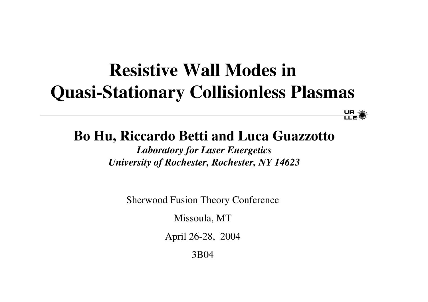## **Resistive Wall Modes inQuasi-Stationary Collisionless Plasmas**

 $rac{\mathsf{U}}{\mathsf{LLE}} \mathcal{H}$ 

#### **Bo Hu, Riccardo Betti and Luca Guazzotto**

*Laboratory for Laser Energetics University of Rochester, Rochester, NY 14623*

Sherwood Fusion Theory Conference

Missoula, MT

April 26-28, 2004

3B04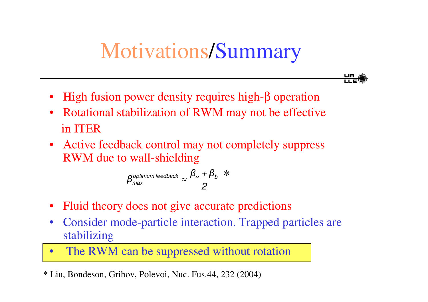# Motivations/Summary

- UR §<br>IT E
- High fusion power density requires high-β operation
- Rotational stabilization of RWM may not be effective in ITER
- Active feedback control may not completely suppress RWM due to wall-shielding

$$
\beta_{\text{max}}^{\text{optimum feedback}} \approx \frac{\beta_{\text{m}} + \beta_{\text{b}}}{2} \times
$$

- Fluid theory does not give accurate predictions
- $\bullet$  Consider mode-particle interaction. Trapped particles are stabilizing
- $\bullet$ • The RWM can be suppressed without rotation

\* Liu, Bondeson, Gribov, Polevoi, Nuc. Fus.44, 232 (2004)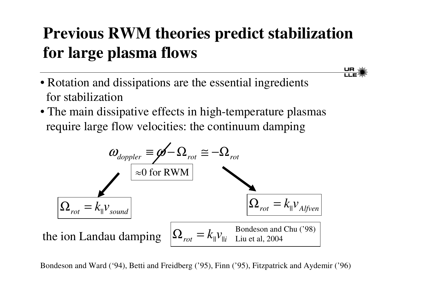## **Previous RWM theories predict stabilization for large plasma flows**

 $\frac{\mathsf{U}\mathsf{R}}{\mathsf{H}\mathsf{R}^2}$ 

- Rotation and dissipations are the essential ingredients for stabilization
- The main dissipative effects in high-temperature plasmas require large flow velocities: the continuum damping



Bondeson and Ward ('94), Betti and Freidberg ('95), Finn ('95), Fitzpatrick and Aydemir ('96)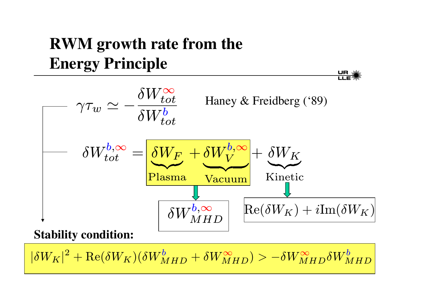## **RWM growth rate from the Energy Principle**

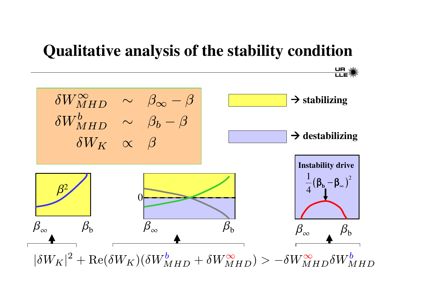#### **Qualitative analysis of the stability condition**

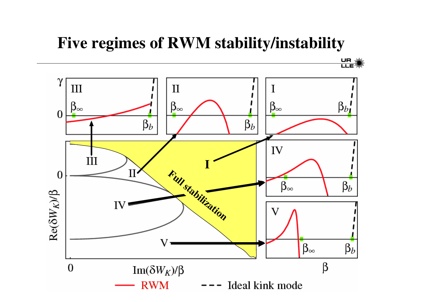#### **Five regimes of RWM stability/instability**

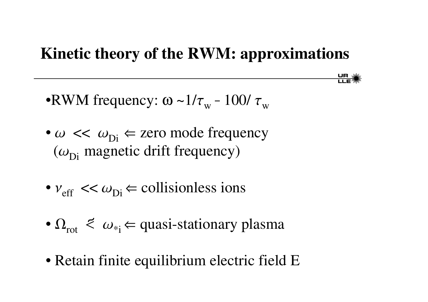#### **Kinetic theory of the RWM: approximations**

 $rac{\mathsf{U}\mathsf{R}}{\mathsf{L}\mathsf{L}\mathsf{E}}$ 

•RWM frequency: ω ~ $1/\tau_{_{\rm W}}$  –  $100/\,\tau_{_{\rm W}}$ 

- $\omega \ll \omega_{\text{Di}} \Leftarrow$  zero mode frequency  $(\omega_{\rm Di}$  magnetic drift frequency)
- $v_{\text{eff}} \ll \omega_{\text{Di}} \in$  collisionless ions
- $\Omega_{\rm rot}$   $\leq \omega_{\rm si}$   $\Leftarrow$  quasi-stationary plasma
- Retain finite equilibrium electric field E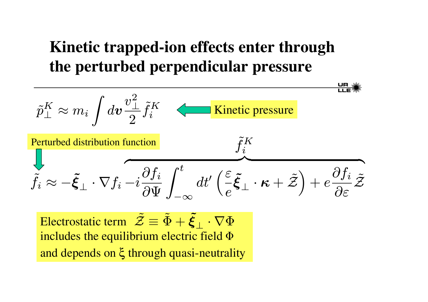### **Kinetic trapped-ion effects enter through the perturbed perpendicular pressure**



Electrostatic term  $\mathcal Z$ includes the equilibrium electric field  $\Phi$ and depends on ξ through quasi-neutrality  $\mathcal{Z}\equiv \Phi$  $\tilde{\Phi}+\tilde{\bm{\xi}}$  $\boldsymbol{\xi}_\perp \cdot \nabla \Phi$ 

∼

∼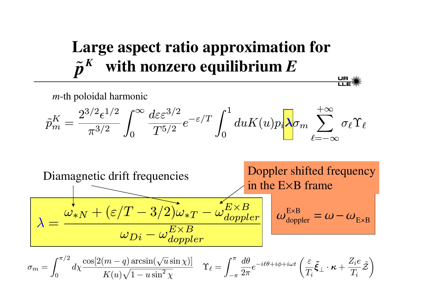## Large aspect ratio approximation for with nonzero equilibrium  $E$

 $\frac{\mathsf{U}\mathsf{P}}{\mathsf{I}\mathsf{I}}\mathsf{F}^*$ 

 $m$ -th poloidal harmonic

$$
\tilde{p}^K_m = \frac{2^{3/2} \epsilon^{1/2}}{\pi^{3/2}} \int_0^\infty \frac{d \varepsilon \varepsilon^{3/2}}{T^{5/2}} e^{-\varepsilon/T} \int_0^1 du K(u) p_i \hspace{-0.1cm} \lambda \sigma_m \sum_{\ell=-\infty}^{+\infty} \sigma_\ell \Upsilon_\ell
$$



$$
\sigma_m = \int_0^{\pi/2} d\chi \frac{\cos[2(m-q)\arcsin(\sqrt{u}\sin\chi)]}{K(u)\sqrt{1-u}\sin^2\chi} \quad \Upsilon_\ell = \int_{-\pi}^\pi \frac{d\theta}{2\pi} e^{-i\ell\theta + i\phi + i\omega t} \left(\frac{\varepsilon}{T_i}\tilde{\xi}_\perp \cdot \kappa + \frac{Z_i e}{T_i}\tilde{\mathcal{Z}}\right)
$$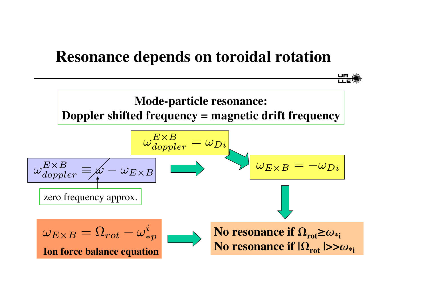#### **Resonance depends on toroidal rotation**

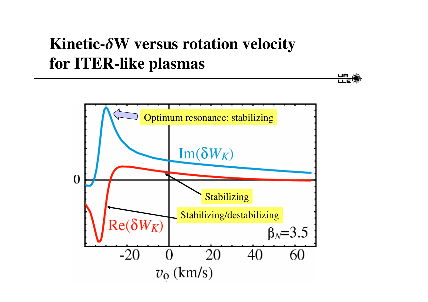## **Kinetic-W versus rotation velocity for ITER-like plasmas**



UR W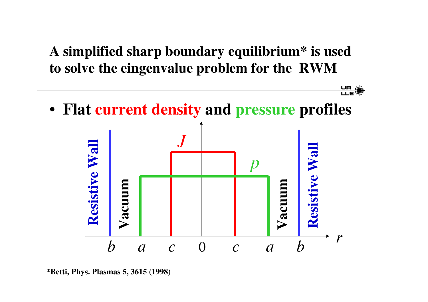#### **A simplified sharp boundary equilibrium\* is used to solve the eingenvalue problem for the RWM**



**<sup>\*</sup>Betti, Phys. Plasmas 5, 3615 (1998)**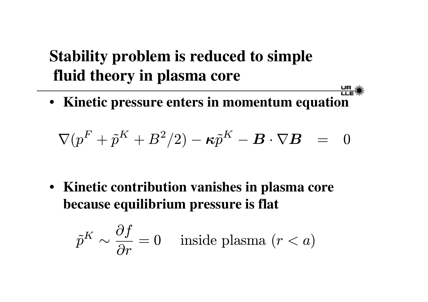### **Stability problem is reduced to simple fluid theory in plasma core**

• **Kinetic pressure enters in momentum equation**

UR )<br>LLE<sup>3</sup>

$$
\nabla(p^F+\tilde{p}^K+B^2/2)-\boldsymbol{\kappa}\tilde{p}^K-\boldsymbol{B}\cdot\nabla\boldsymbol{B} \quad = \quad 0
$$

• **Kinetic contribution vanishes in plasma core because equilibrium pressure is flat**

$$
\tilde{p}^K \sim \frac{\partial f}{\partial r} = 0 \quad \text{ inside plasma } (r < a)
$$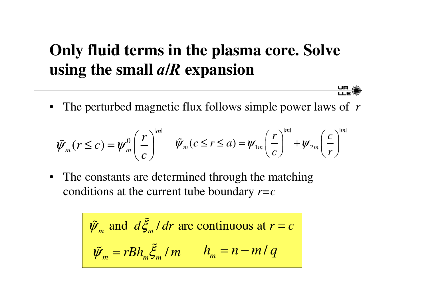#### **Only fluid terms in the plasma core. Solve using the small** *<sup>a</sup>***/***R* **expansion**

• The perturbed magnetic flux follows simple power laws of *<sup>r</sup>*

 $\frac{\mathsf{U}\mathsf{R}}{\mathsf{H}\mathsf{R}}$ 

$$
\tilde{\psi}_m(r \leq c) = \psi_m^0 \left(\frac{r}{c}\right)^{|m|} \quad \tilde{\psi}_m(c \leq r \leq a) = \psi_{1m} \left(\frac{r}{c}\right)^{|m|} + \psi_{2m} \left(\frac{c}{r}\right)^{|m|}
$$

•• The constants are determined through the matching conditions at the current tube boundary *r=c*

$$
\tilde{\psi}_m
$$
 and  $d\tilde{\xi}_m/dr$  are continuous at  $r = c$   
 $\tilde{\psi}_m = rBh_m \tilde{\xi}_m/m$   $h_m = n - m/q$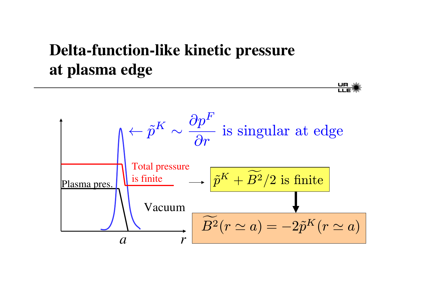### **Delta-function-like kinetic pressure** at plasma edge



<u>UR</u><br>LIE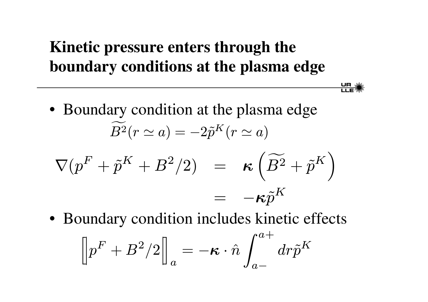#### Kinetic pressure enters through the boundary conditions at the plasma edge

 $\frac{\mathsf{U}\mathsf{R}}{\mathsf{H}\mathsf{R}}$ 

• Boundary condition at the plasma edge  $B^2(r \simeq a) = -2\tilde{p}^K(r \simeq a)$ 

$$
\nabla(p^F + \tilde{p}^K + B^2/2) = \kappa \left( \widetilde{B^2} + \tilde{p}^K \right)
$$

$$
= -\kappa \tilde{p}^K
$$

• Boundary condition includes kinetic effects

$$
\left[\hspace{-0.04cm}\left| p^F+B^2/2\right|\hspace{-0.04cm}\right]_a=-\boldsymbol{\kappa}\cdot\hat{n}\int_{a-}^{a+}dr\tilde{p}^K
$$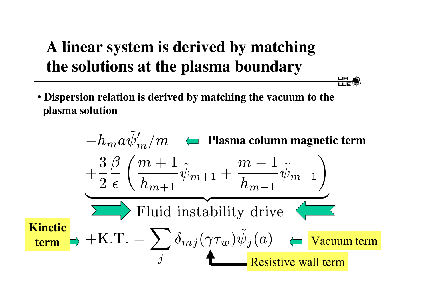### A linear system is derived by matching the solutions at the plasma boundary

• Dispersion relation is derived by matching the vacuum to the plasma solution

$$
-h_m a \tilde{\psi}'_m/m \leftarrow \text{Plasma column magnetic term}
$$
  
\n
$$
+\frac{3}{2} \frac{\beta}{\epsilon} \left( \frac{m+1}{h_{m+1}} \tilde{\psi}_{m+1} + \frac{m-1}{h_{m-1}} \tilde{\psi}_{m-1} \right)
$$
  
\n
$$
\sum \text{Fluid instability drive}
$$
  
\n**Kinetic term**  
\n
$$
+ \text{K.T.} = \sum_j \delta_{mj} (\gamma \tau_w) \tilde{\psi}_j(a) \leftarrow \text{Vacuum term}
$$
  
\n
$$
\sum_j \text{Resistive wall term}
$$

 $\frac{\mathsf{U}\mathsf{P}}{\mathsf{U}\mathsf{P}}$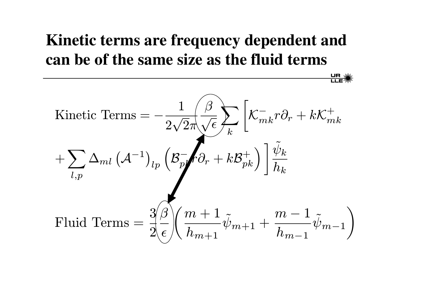### Kinetic terms are frequency dependent and can be of the same size as the fluid terms

 $rac{\mathsf{U}}{\mathsf{LLE}}$ 

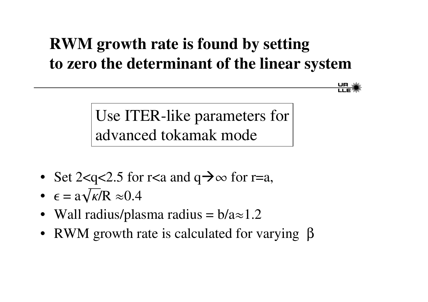### **RWM growth rate is found by setting to zero the determinant of the linear system**

Use ITER-like parameters for advanced tokamak mode

- Set 2<q<2.5 for r<a and  $q \rightarrow \infty$  for r=a,
- $\epsilon = a \sqrt{\kappa/R} \approx 0.4$
- Wall radius/plasma radius =  $b/a \approx 1.2$
- RWM growth rate is calculated for varying  $\beta$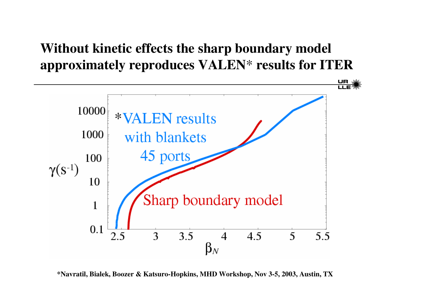#### **Without kinetic effects the sharp boundary model approximately reproduces VALEN**\* **results for ITER**



**\*Navratil, Bialek, Boozer & Katsuro-Hopkins, MHD Workshop, Nov 3-5, 2003, Austin, TX**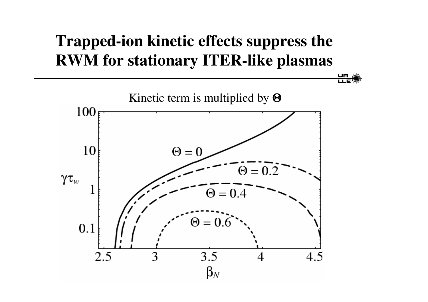## **Trapped-ion kinetic effects suppress the RWM for stationary ITER-like plasmas**

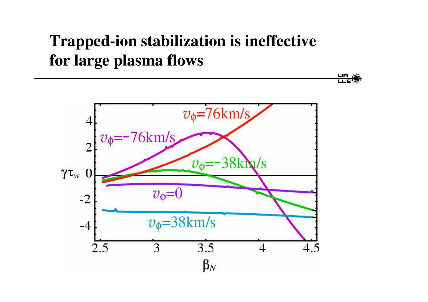#### **Trapped-ion stabilization is ineffective for large plasma flows**

<u>UR s</u><br>LLE<sup>3</sup>

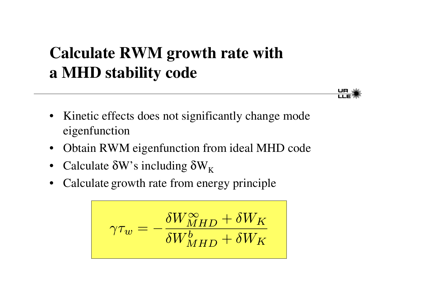### **Calculate RWM growth rate with a MHD stability code**



- $\bullet$ • Kinetic effects does not significantly change mode eigenfunction
- Obtain RWM eigenfunction from ideal MHD code
- Calculate  $\delta W$ 's including  $\delta W_K$
- •• Calculate growth rate from energy principle

$$
\gamma \tau_w = - \frac{\delta W^{\infty}_{MHD} + \delta W_K}{\delta W^b_{MHD} + \delta W_K}
$$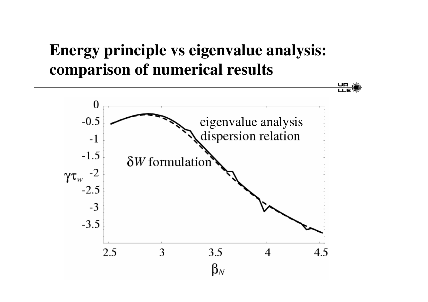#### **Energy principle vs eigenvalue analysis: comparison of numerical results**